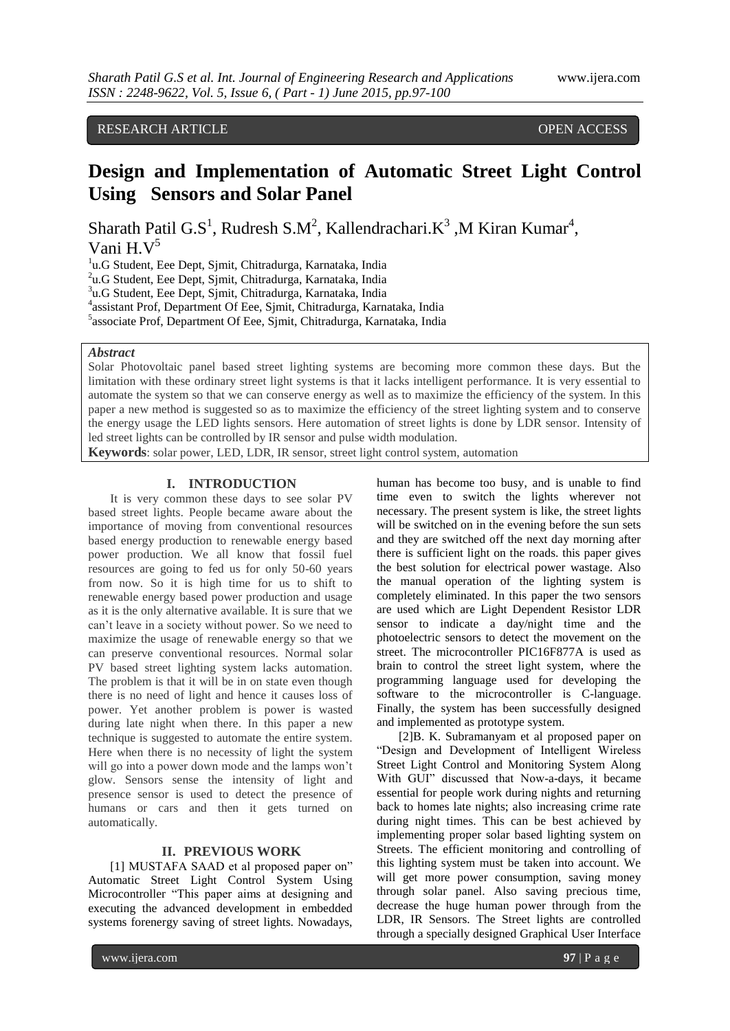## RESEARCH ARTICLE OPEN ACCESS

# **Design and Implementation of Automatic Street Light Control Using Sensors and Solar Panel**

Sharath Patil G.S<sup>1</sup>, Rudresh S.M<sup>2</sup>, Kallendrachari.K<sup>3</sup>, M Kiran Kumar<sup>4</sup>, Vani H.V<sup>5</sup>

<sup>1</sup>u.G Student, Eee Dept, Sjmit, Chitradurga, Karnataka, India

2 u.G Student, Eee Dept, Sjmit, Chitradurga, Karnataka, India

3 u.G Student, Eee Dept, Sjmit, Chitradurga, Karnataka, India

4 assistant Prof, Department Of Eee, Sjmit, Chitradurga, Karnataka, India

5 associate Prof, Department Of Eee, Sjmit, Chitradurga, Karnataka, India

#### *Abstract*

Solar Photovoltaic panel based street lighting systems are becoming more common these days. But the limitation with these ordinary street light systems is that it lacks intelligent performance. It is very essential to automate the system so that we can conserve energy as well as to maximize the efficiency of the system. In this paper a new method is suggested so as to maximize the efficiency of the street lighting system and to conserve the energy usage the LED lights sensors. Here automation of street lights is done by LDR sensor. Intensity of led street lights can be controlled by IR sensor and pulse width modulation.

**Keywords**: solar power, LED, LDR, IR sensor, street light control system, automation

#### **I. INTRODUCTION**

It is very common these days to see solar PV based street lights. People became aware about the importance of moving from conventional resources based energy production to renewable energy based power production. We all know that fossil fuel resources are going to fed us for only 50-60 years from now. So it is high time for us to shift to renewable energy based power production and usage as it is the only alternative available. It is sure that we can't leave in a society without power. So we need to maximize the usage of renewable energy so that we can preserve conventional resources. Normal solar PV based street lighting system lacks automation. The problem is that it will be in on state even though there is no need of light and hence it causes loss of power. Yet another problem is power is wasted during late night when there. In this paper a new technique is suggested to automate the entire system. Here when there is no necessity of light the system will go into a power down mode and the lamps won't glow. Sensors sense the intensity of light and presence sensor is used to detect the presence of humans or cars and then it gets turned on automatically.

### **II. PREVIOUS WORK**

[1] MUSTAFA SAAD et al proposed paper on" Automatic Street Light Control System Using Microcontroller "This paper aims at designing and executing the advanced development in embedded systems forenergy saving of street lights. Nowadays,

human has become too busy, and is unable to find time even to switch the lights wherever not necessary. The present system is like, the street lights will be switched on in the evening before the sun sets and they are switched off the next day morning after there is sufficient light on the roads. this paper gives the best solution for electrical power wastage. Also the manual operation of the lighting system is completely eliminated. In this paper the two sensors are used which are Light Dependent Resistor LDR sensor to indicate a day/night time and the photoelectric sensors to detect the movement on the street. The microcontroller PIC16F877A is used as brain to control the street light system, where the programming language used for developing the software to the microcontroller is C-language. Finally, the system has been successfully designed and implemented as prototype system.

[2]B. K. Subramanyam et al proposed paper on "Design and Development of Intelligent Wireless Street Light Control and Monitoring System Along With GUI" discussed that Now-a-days, it became essential for people work during nights and returning back to homes late nights; also increasing crime rate during night times. This can be best achieved by implementing proper solar based lighting system on Streets. The efficient monitoring and controlling of this lighting system must be taken into account. We will get more power consumption, saving money through solar panel. Also saving precious time, decrease the huge human power through from the LDR, IR Sensors. The Street lights are controlled through a specially designed Graphical User Interface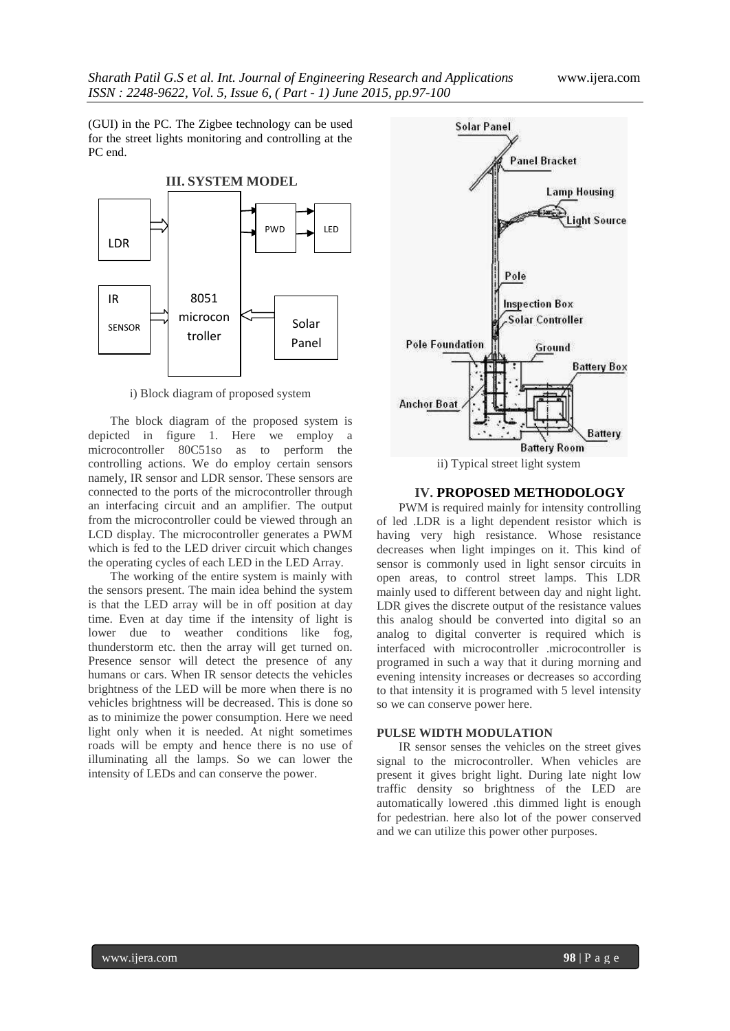(GUI) in the PC. The Zigbee technology can be used for the street lights monitoring and controlling at the PC end.



i) Block diagram of proposed system

The block diagram of the proposed system is depicted in figure 1. Here we employ a microcontroller 80C51so as to perform the controlling actions. We do employ certain sensors namely, IR sensor and LDR sensor. These sensors are connected to the ports of the microcontroller through an interfacing circuit and an amplifier. The output from the microcontroller could be viewed through an LCD display. The microcontroller generates a PWM which is fed to the LED driver circuit which changes the operating cycles of each LED in the LED Array.

The working of the entire system is mainly with the sensors present. The main idea behind the system is that the LED array will be in off position at day time. Even at day time if the intensity of light is lower due to weather conditions like fog, thunderstorm etc. then the array will get turned on. Presence sensor will detect the presence of any humans or cars. When IR sensor detects the vehicles brightness of the LED will be more when there is no vehicles brightness will be decreased. This is done so as to minimize the power consumption. Here we need light only when it is needed. At night sometimes roads will be empty and hence there is no use of illuminating all the lamps. So we can lower the intensity of LEDs and can conserve the power.



#### **IV. PROPOSED METHODOLOGY**

PWM is required mainly for intensity controlling of led .LDR is a light dependent resistor which is having very high resistance. Whose resistance decreases when light impinges on it. This kind of sensor is commonly used in light sensor circuits in open areas, to control street lamps. This LDR mainly used to different between day and night light. LDR gives the discrete output of the resistance values this analog should be converted into digital so an analog to digital converter is required which is interfaced with microcontroller .microcontroller is programed in such a way that it during morning and evening intensity increases or decreases so according to that intensity it is programed with 5 level intensity so we can conserve power here.

#### **PULSE WIDTH MODULATION**

IR sensor senses the vehicles on the street gives signal to the microcontroller. When vehicles are present it gives bright light. During late night low traffic density so brightness of the LED are automatically lowered .this dimmed light is enough for pedestrian. here also lot of the power conserved and we can utilize this power other purposes.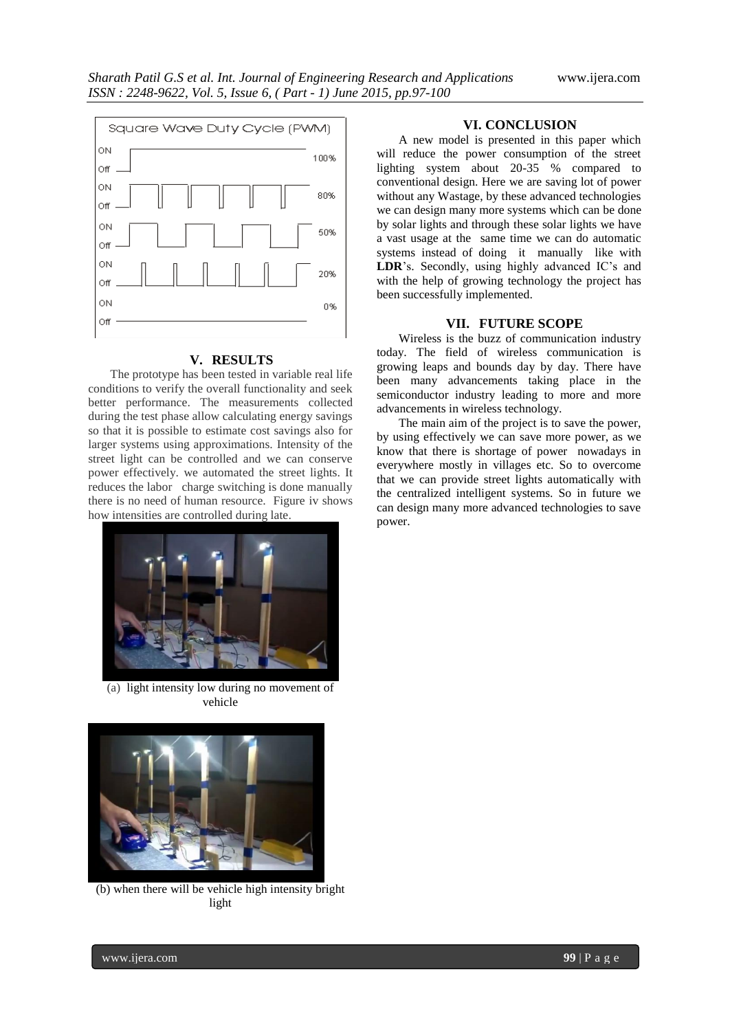

#### **V. RESULTS**

The prototype has been tested in variable real life conditions to verify the overall functionality and seek better performance. The measurements collected during the test phase allow calculating energy savings so that it is possible to estimate cost savings also for larger systems using approximations. Intensity of the street light can be controlled and we can conserve power effectively. we automated the street lights. It reduces the labor charge switching is done manually there is no need of human resource. Figure iv shows how intensities are controlled during late.



(a) light intensity low during no movement of vehicle



(b) when there will be vehicle high intensity bright light

#### **VI. CONCLUSION**

A new model is presented in this paper which will reduce the power consumption of the street lighting system about 20-35 % compared to conventional design. Here we are saving lot of power without any Wastage, by these advanced technologies we can design many more systems which can be done by solar lights and through these solar lights we have a vast usage at the same time we can do automatic systems instead of doing it manually like with **LDR**'s. Secondly, using highly advanced IC's and with the help of growing technology the project has been successfully implemented.

#### **VII. FUTURE SCOPE**

Wireless is the buzz of communication industry today. The field of wireless communication is growing leaps and bounds day by day. There have been many advancements taking place in the semiconductor industry leading to more and more advancements in wireless technology.

The main aim of the project is to save the power, by using effectively we can save more power, as we know that there is shortage of power nowadays in everywhere mostly in villages etc. So to overcome that we can provide street lights automatically with the centralized intelligent systems. So in future we can design many more advanced technologies to save power.